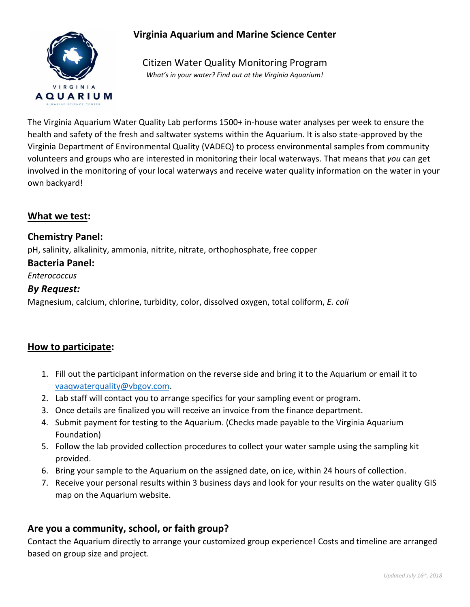

# **Virginia Aquarium and Marine Science Center**

Citizen Water Quality Monitoring Program *What's in your water? Find out at the Virginia Aquarium!*

The Virginia Aquarium Water Quality Lab performs 1500+ in-house water analyses per week to ensure the health and safety of the fresh and saltwater systems within the Aquarium. It is also state-approved by the Virginia Department of Environmental Quality (VADEQ) to process environmental samples from community volunteers and groups who are interested in monitoring their local waterways. That means that *you* can get involved in the monitoring of your local waterways and receive water quality information on the water in your own backyard!

# **What we test:**

# **Chemistry Panel:**

pH, salinity, alkalinity, ammonia, nitrite, nitrate, orthophosphate, free copper

#### **Bacteria Panel:**

*Enterococcus*

#### *By Request:*

Magnesium, calcium, chlorine, turbidity, color, dissolved oxygen, total coliform, *E. coli*

# **How to participate:**

- 1. Fill out the participant information on the reverse side and bring it to the Aquarium or email it to [vaaqwaterquality@vbgov.com.](mailto:vaaqwaterquality@vbgov.com)
- 2. Lab staff will contact you to arrange specifics for your sampling event or program.
- 3. Once details are finalized you will receive an invoice from the finance department.
- 4. Submit payment for testing to the Aquarium. (Checks made payable to the Virginia Aquarium Foundation)
- 5. Follow the lab provided collection procedures to collect your water sample using the sampling kit provided.
- 6. Bring your sample to the Aquarium on the assigned date, on ice, within 24 hours of collection.
- 7. Receive your personal results within 3 business days and look for your results on the water quality GIS map on the Aquarium website.

# **Are you a community, school, or faith group?**

Contact the Aquarium directly to arrange your customized group experience! Costs and timeline are arranged based on group size and project.